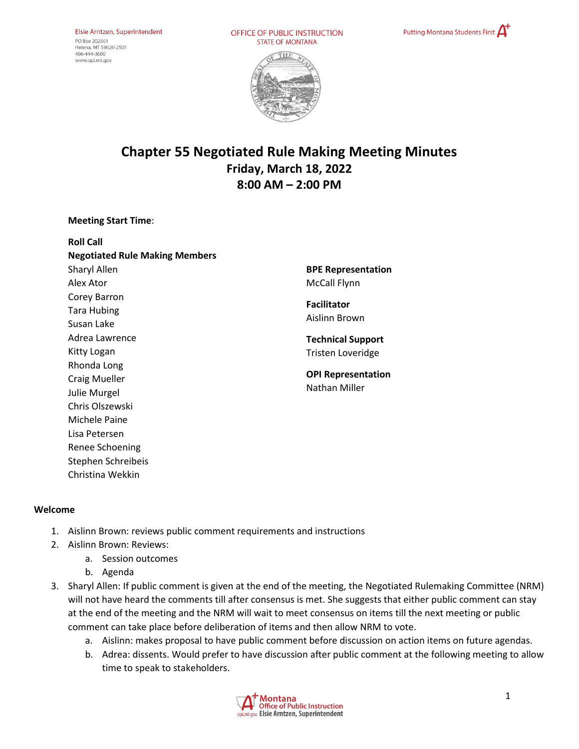OFFICE OF PUBLIC INSTRUCTION **STATE OF MONTANA** 





# **Chapter 55 Negotiated Rule Making Meeting Minutes Friday, March 18, 2022 8:00 AM – 2:00 PM**

#### **Meeting Start Time**:

| <b>Roll Call</b>                      |
|---------------------------------------|
| <b>Negotiated Rule Making Members</b> |
| Sharyl Allen                          |
| Alex Ator                             |
| Corey Barron                          |
| Tara Hubing                           |
| Susan Lake                            |
| Adrea Lawrence                        |
| Kitty Logan                           |
| Rhonda Long                           |
| <b>Craig Mueller</b>                  |
| Julie Murgel                          |
| Chris Olszewski                       |
| Michele Paine                         |
| Lisa Petersen                         |
| Renee Schoening                       |
| Stephen Schreibeis                    |
| Christina Wekkin                      |

**BPE Representation**  McCall Flynn

**Facilitator** Aislinn Brown

**Technical Support** Tristen Loveridge

**OPI Representation**  Nathan Miller

## **Welcome**

- 1. Aislinn Brown: reviews public comment requirements and instructions
- 2. Aislinn Brown: Reviews:
	- a. Session outcomes
	- b. Agenda
- 3. Sharyl Allen: If public comment is given at the end of the meeting, the Negotiated Rulemaking Committee (NRM) will not have heard the comments till after consensus is met. She suggests that either public comment can stay at the end of the meeting and the NRM will wait to meet consensus on items till the next meeting or public comment can take place before deliberation of items and then allow NRM to vote.
	- a. Aislinn: makes proposal to have public comment before discussion on action items on future agendas.
	- b. Adrea: dissents. Would prefer to have discussion after public comment at the following meeting to allow time to speak to stakeholders.

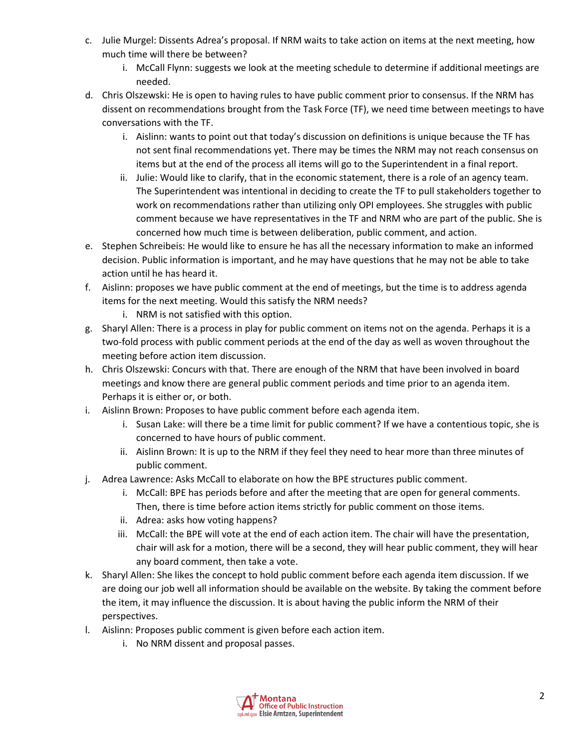- c. Julie Murgel: Dissents Adrea's proposal. If NRM waits to take action on items at the next meeting, how much time will there be between?
	- i. McCall Flynn: suggests we look at the meeting schedule to determine if additional meetings are needed.
- d. Chris Olszewski: He is open to having rules to have public comment prior to consensus. If the NRM has dissent on recommendations brought from the Task Force (TF), we need time between meetings to have conversations with the TF.
	- i. Aislinn: wants to point out that today's discussion on definitions is unique because the TF has not sent final recommendations yet. There may be times the NRM may not reach consensus on items but at the end of the process all items will go to the Superintendent in a final report.
	- ii. Julie: Would like to clarify, that in the economic statement, there is a role of an agency team. The Superintendent was intentional in deciding to create the TF to pull stakeholders together to work on recommendations rather than utilizing only OPI employees. She struggles with public comment because we have representatives in the TF and NRM who are part of the public. She is concerned how much time is between deliberation, public comment, and action.
- e. Stephen Schreibeis: He would like to ensure he has all the necessary information to make an informed decision. Public information is important, and he may have questions that he may not be able to take action until he has heard it.
- f. Aislinn: proposes we have public comment at the end of meetings, but the time is to address agenda items for the next meeting. Would this satisfy the NRM needs?
	- i. NRM is not satisfied with this option.
- g. Sharyl Allen: There is a process in play for public comment on items not on the agenda. Perhaps it is a two-fold process with public comment periods at the end of the day as well as woven throughout the meeting before action item discussion.
- h. Chris Olszewski: Concurs with that. There are enough of the NRM that have been involved in board meetings and know there are general public comment periods and time prior to an agenda item. Perhaps it is either or, or both.
- i. Aislinn Brown: Proposes to have public comment before each agenda item.
	- i. Susan Lake: will there be a time limit for public comment? If we have a contentious topic, she is concerned to have hours of public comment.
	- ii. Aislinn Brown: It is up to the NRM if they feel they need to hear more than three minutes of public comment.
- j. Adrea Lawrence: Asks McCall to elaborate on how the BPE structures public comment.
	- i. McCall: BPE has periods before and after the meeting that are open for general comments. Then, there is time before action items strictly for public comment on those items.
	- ii. Adrea: asks how voting happens?
	- iii. McCall: the BPE will vote at the end of each action item. The chair will have the presentation, chair will ask for a motion, there will be a second, they will hear public comment, they will hear any board comment, then take a vote.
- k. Sharyl Allen: She likes the concept to hold public comment before each agenda item discussion. If we are doing our job well all information should be available on the website. By taking the comment before the item, it may influence the discussion. It is about having the public inform the NRM of their perspectives.
- l. Aislinn: Proposes public comment is given before each action item.
	- i. No NRM dissent and proposal passes.

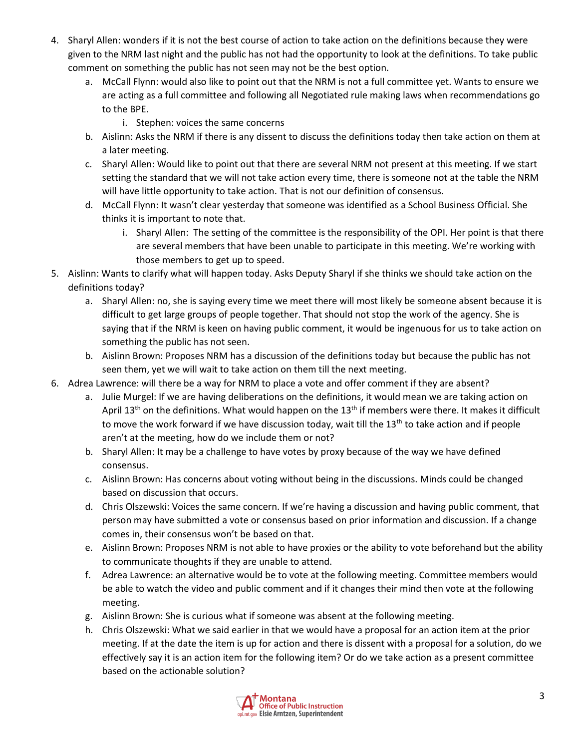- 4. Sharyl Allen: wonders if it is not the best course of action to take action on the definitions because they were given to the NRM last night and the public has not had the opportunity to look at the definitions. To take public comment on something the public has not seen may not be the best option.
	- a. McCall Flynn: would also like to point out that the NRM is not a full committee yet. Wants to ensure we are acting as a full committee and following all Negotiated rule making laws when recommendations go to the BPE.
		- i. Stephen: voices the same concerns
	- b. Aislinn: Asks the NRM if there is any dissent to discuss the definitions today then take action on them at a later meeting.
	- c. Sharyl Allen: Would like to point out that there are several NRM not present at this meeting. If we start setting the standard that we will not take action every time, there is someone not at the table the NRM will have little opportunity to take action. That is not our definition of consensus.
	- d. McCall Flynn: It wasn't clear yesterday that someone was identified as a School Business Official. She thinks it is important to note that.
		- i. Sharyl Allen: The setting of the committee is the responsibility of the OPI. Her point is that there are several members that have been unable to participate in this meeting. We're working with those members to get up to speed.
- 5. Aislinn: Wants to clarify what will happen today. Asks Deputy Sharyl if she thinks we should take action on the definitions today?
	- a. Sharyl Allen: no, she is saying every time we meet there will most likely be someone absent because it is difficult to get large groups of people together. That should not stop the work of the agency. She is saying that if the NRM is keen on having public comment, it would be ingenuous for us to take action on something the public has not seen.
	- b. Aislinn Brown: Proposes NRM has a discussion of the definitions today but because the public has not seen them, yet we will wait to take action on them till the next meeting.
- 6. Adrea Lawrence: will there be a way for NRM to place a vote and offer comment if they are absent?
	- a. Julie Murgel: If we are having deliberations on the definitions, it would mean we are taking action on April 13<sup>th</sup> on the definitions. What would happen on the 13<sup>th</sup> if members were there. It makes it difficult to move the work forward if we have discussion today, wait till the  $13<sup>th</sup>$  to take action and if people aren't at the meeting, how do we include them or not?
	- b. Sharyl Allen: It may be a challenge to have votes by proxy because of the way we have defined consensus.
	- c. Aislinn Brown: Has concerns about voting without being in the discussions. Minds could be changed based on discussion that occurs.
	- d. Chris Olszewski: Voices the same concern. If we're having a discussion and having public comment, that person may have submitted a vote or consensus based on prior information and discussion. If a change comes in, their consensus won't be based on that.
	- e. Aislinn Brown: Proposes NRM is not able to have proxies or the ability to vote beforehand but the ability to communicate thoughts if they are unable to attend.
	- f. Adrea Lawrence: an alternative would be to vote at the following meeting. Committee members would be able to watch the video and public comment and if it changes their mind then vote at the following meeting.
	- g. Aislinn Brown: She is curious what if someone was absent at the following meeting.
	- h. Chris Olszewski: What we said earlier in that we would have a proposal for an action item at the prior meeting. If at the date the item is up for action and there is dissent with a proposal for a solution, do we effectively say it is an action item for the following item? Or do we take action as a present committee based on the actionable solution?

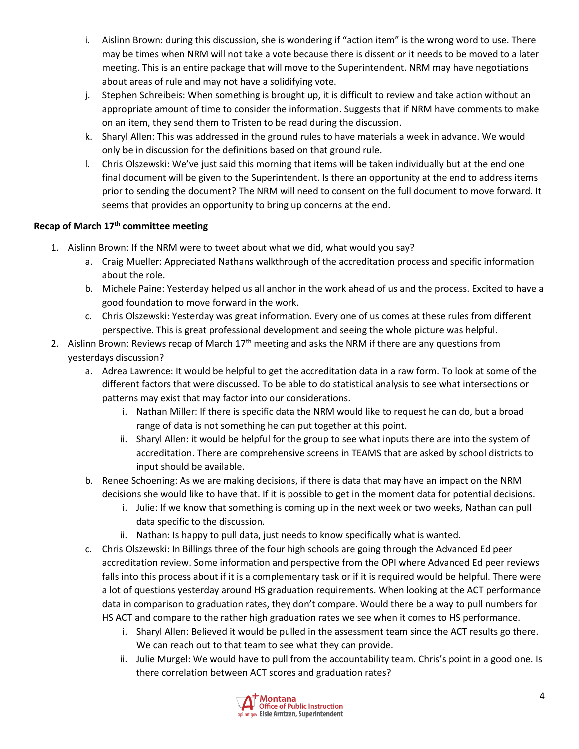- i. Aislinn Brown: during this discussion, she is wondering if "action item" is the wrong word to use. There may be times when NRM will not take a vote because there is dissent or it needs to be moved to a later meeting. This is an entire package that will move to the Superintendent. NRM may have negotiations about areas of rule and may not have a solidifying vote.
- j. Stephen Schreibeis: When something is brought up, it is difficult to review and take action without an appropriate amount of time to consider the information. Suggests that if NRM have comments to make on an item, they send them to Tristen to be read during the discussion.
- k. Sharyl Allen: This was addressed in the ground rules to have materials a week in advance. We would only be in discussion for the definitions based on that ground rule.
- l. Chris Olszewski: We've just said this morning that items will be taken individually but at the end one final document will be given to the Superintendent. Is there an opportunity at the end to address items prior to sending the document? The NRM will need to consent on the full document to move forward. It seems that provides an opportunity to bring up concerns at the end.

# **Recap of March 17th committee meeting**

- 1. Aislinn Brown: If the NRM were to tweet about what we did, what would you say?
	- a. Craig Mueller: Appreciated Nathans walkthrough of the accreditation process and specific information about the role.
	- b. Michele Paine: Yesterday helped us all anchor in the work ahead of us and the process. Excited to have a good foundation to move forward in the work.
	- c. Chris Olszewski: Yesterday was great information. Every one of us comes at these rules from different perspective. This is great professional development and seeing the whole picture was helpful.
- 2. Aislinn Brown: Reviews recap of March 17<sup>th</sup> meeting and asks the NRM if there are any questions from yesterdays discussion?
	- a. Adrea Lawrence: It would be helpful to get the accreditation data in a raw form. To look at some of the different factors that were discussed. To be able to do statistical analysis to see what intersections or patterns may exist that may factor into our considerations.
		- i. Nathan Miller: If there is specific data the NRM would like to request he can do, but a broad range of data is not something he can put together at this point.
		- ii. Sharyl Allen: it would be helpful for the group to see what inputs there are into the system of accreditation. There are comprehensive screens in TEAMS that are asked by school districts to input should be available.
	- b. Renee Schoening: As we are making decisions, if there is data that may have an impact on the NRM decisions she would like to have that. If it is possible to get in the moment data for potential decisions.
		- i. Julie: If we know that something is coming up in the next week or two weeks, Nathan can pull data specific to the discussion.
		- ii. Nathan: Is happy to pull data, just needs to know specifically what is wanted.
	- c. Chris Olszewski: In Billings three of the four high schools are going through the Advanced Ed peer accreditation review. Some information and perspective from the OPI where Advanced Ed peer reviews falls into this process about if it is a complementary task or if it is required would be helpful. There were a lot of questions yesterday around HS graduation requirements. When looking at the ACT performance data in comparison to graduation rates, they don't compare. Would there be a way to pull numbers for HS ACT and compare to the rather high graduation rates we see when it comes to HS performance.
		- i. Sharyl Allen: Believed it would be pulled in the assessment team since the ACT results go there. We can reach out to that team to see what they can provide.
		- ii. Julie Murgel: We would have to pull from the accountability team. Chris's point in a good one. Is there correlation between ACT scores and graduation rates?

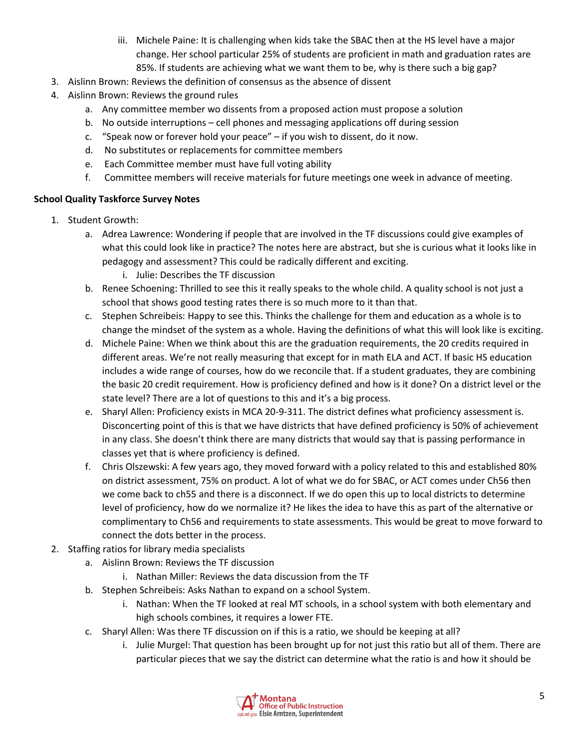- iii. Michele Paine: It is challenging when kids take the SBAC then at the HS level have a major change. Her school particular 25% of students are proficient in math and graduation rates are 85%. If students are achieving what we want them to be, why is there such a big gap?
- 3. Aislinn Brown: Reviews the definition of consensus as the absence of dissent
- 4. Aislinn Brown: Reviews the ground rules
	- a. Any committee member wo dissents from a proposed action must propose a solution
	- b. No outside interruptions cell phones and messaging applications off during session
	- c. "Speak now or forever hold your peace" if you wish to dissent, do it now.
	- d. No substitutes or replacements for committee members
	- e. Each Committee member must have full voting ability
	- f. Committee members will receive materials for future meetings one week in advance of meeting.

#### **School Quality Taskforce Survey Notes**

- 1. Student Growth:
	- a. Adrea Lawrence: Wondering if people that are involved in the TF discussions could give examples of what this could look like in practice? The notes here are abstract, but she is curious what it looks like in pedagogy and assessment? This could be radically different and exciting.
		- i. Julie: Describes the TF discussion
	- b. Renee Schoening: Thrilled to see this it really speaks to the whole child. A quality school is not just a school that shows good testing rates there is so much more to it than that.
	- c. Stephen Schreibeis: Happy to see this. Thinks the challenge for them and education as a whole is to change the mindset of the system as a whole. Having the definitions of what this will look like is exciting.
	- d. Michele Paine: When we think about this are the graduation requirements, the 20 credits required in different areas. We're not really measuring that except for in math ELA and ACT. If basic HS education includes a wide range of courses, how do we reconcile that. If a student graduates, they are combining the basic 20 credit requirement. How is proficiency defined and how is it done? On a district level or the state level? There are a lot of questions to this and it's a big process.
	- e. Sharyl Allen: Proficiency exists in MCA 20-9-311. The district defines what proficiency assessment is. Disconcerting point of this is that we have districts that have defined proficiency is 50% of achievement in any class. She doesn't think there are many districts that would say that is passing performance in classes yet that is where proficiency is defined.
	- f. Chris Olszewski: A few years ago, they moved forward with a policy related to this and established 80% on district assessment, 75% on product. A lot of what we do for SBAC, or ACT comes under Ch56 then we come back to ch55 and there is a disconnect. If we do open this up to local districts to determine level of proficiency, how do we normalize it? He likes the idea to have this as part of the alternative or complimentary to Ch56 and requirements to state assessments. This would be great to move forward to connect the dots better in the process.
- 2. Staffing ratios for library media specialists
	- a. Aislinn Brown: Reviews the TF discussion
		- i. Nathan Miller: Reviews the data discussion from the TF
	- b. Stephen Schreibeis: Asks Nathan to expand on a school System.
		- i. Nathan: When the TF looked at real MT schools, in a school system with both elementary and high schools combines, it requires a lower FTE.
	- c. Sharyl Allen: Was there TF discussion on if this is a ratio, we should be keeping at all?
		- i. Julie Murgel: That question has been brought up for not just this ratio but all of them. There are particular pieces that we say the district can determine what the ratio is and how it should be

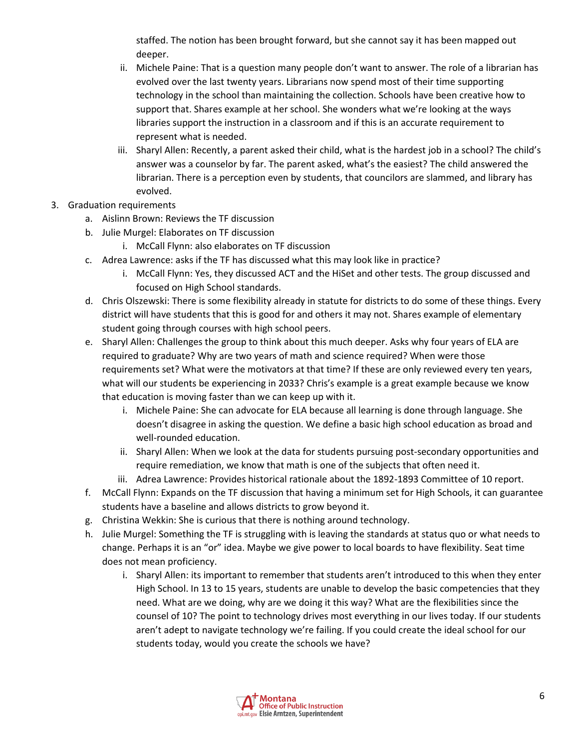staffed. The notion has been brought forward, but she cannot say it has been mapped out deeper.

- ii. Michele Paine: That is a question many people don't want to answer. The role of a librarian has evolved over the last twenty years. Librarians now spend most of their time supporting technology in the school than maintaining the collection. Schools have been creative how to support that. Shares example at her school. She wonders what we're looking at the ways libraries support the instruction in a classroom and if this is an accurate requirement to represent what is needed.
- iii. Sharyl Allen: Recently, a parent asked their child, what is the hardest job in a school? The child's answer was a counselor by far. The parent asked, what's the easiest? The child answered the librarian. There is a perception even by students, that councilors are slammed, and library has evolved.
- 3. Graduation requirements
	- a. Aislinn Brown: Reviews the TF discussion
	- b. Julie Murgel: Elaborates on TF discussion
		- i. McCall Flynn: also elaborates on TF discussion
	- c. Adrea Lawrence: asks if the TF has discussed what this may look like in practice?
		- i. McCall Flynn: Yes, they discussed ACT and the HiSet and other tests. The group discussed and focused on High School standards.
	- d. Chris Olszewski: There is some flexibility already in statute for districts to do some of these things. Every district will have students that this is good for and others it may not. Shares example of elementary student going through courses with high school peers.
	- e. Sharyl Allen: Challenges the group to think about this much deeper. Asks why four years of ELA are required to graduate? Why are two years of math and science required? When were those requirements set? What were the motivators at that time? If these are only reviewed every ten years, what will our students be experiencing in 2033? Chris's example is a great example because we know that education is moving faster than we can keep up with it.
		- i. Michele Paine: She can advocate for ELA because all learning is done through language. She doesn't disagree in asking the question. We define a basic high school education as broad and well-rounded education.
		- ii. Sharyl Allen: When we look at the data for students pursuing post-secondary opportunities and require remediation, we know that math is one of the subjects that often need it.
		- iii. Adrea Lawrence: Provides historical rationale about the 1892-1893 Committee of 10 report.
	- f. McCall Flynn: Expands on the TF discussion that having a minimum set for High Schools, it can guarantee students have a baseline and allows districts to grow beyond it.
	- g. Christina Wekkin: She is curious that there is nothing around technology.
	- h. Julie Murgel: Something the TF is struggling with is leaving the standards at status quo or what needs to change. Perhaps it is an "or" idea. Maybe we give power to local boards to have flexibility. Seat time does not mean proficiency.
		- i. Sharyl Allen: its important to remember that students aren't introduced to this when they enter High School. In 13 to 15 years, students are unable to develop the basic competencies that they need. What are we doing, why are we doing it this way? What are the flexibilities since the counsel of 10? The point to technology drives most everything in our lives today. If our students aren't adept to navigate technology we're failing. If you could create the ideal school for our students today, would you create the schools we have?

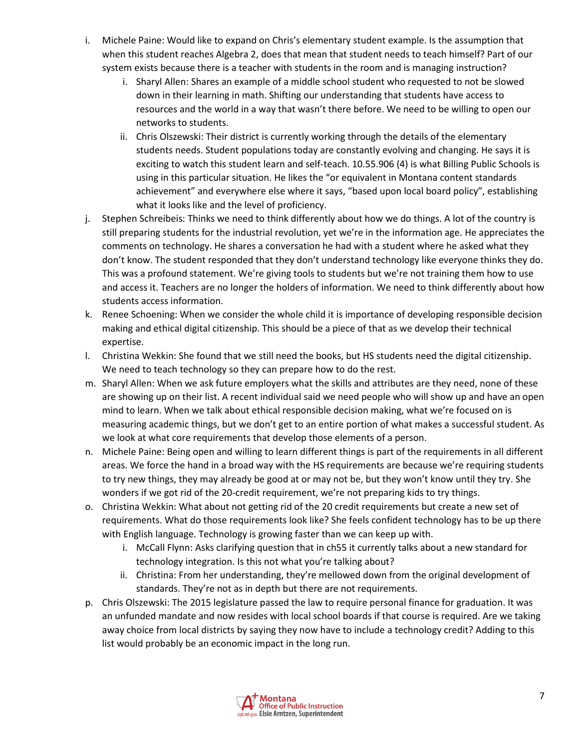- i. Michele Paine: Would like to expand on Chris's elementary student example. Is the assumption that when this student reaches Algebra 2, does that mean that student needs to teach himself? Part of our system exists because there is a teacher with students in the room and is managing instruction?
	- i. Sharyl Allen: Shares an example of a middle school student who requested to not be slowed down in their learning in math. Shifting our understanding that students have access to resources and the world in a way that wasn't there before. We need to be willing to open our networks to students.
	- ii. Chris Olszewski: Their district is currently working through the details of the elementary students needs. Student populations today are constantly evolving and changing. He says it is exciting to watch this student learn and self-teach. 10.55.906 (4) is what Billing Public Schools is using in this particular situation. He likes the "or equivalent in Montana content standards achievement" and everywhere else where it says, "based upon local board policy", establishing what it looks like and the level of proficiency.
- j. Stephen Schreibeis: Thinks we need to think differently about how we do things. A lot of the country is still preparing students for the industrial revolution, yet we're in the information age. He appreciates the comments on technology. He shares a conversation he had with a student where he asked what they don't know. The student responded that they don't understand technology like everyone thinks they do. This was a profound statement. We're giving tools to students but we're not training them how to use and access it. Teachers are no longer the holders of information. We need to think differently about how students access information.
- k. Renee Schoening: When we consider the whole child it is importance of developing responsible decision making and ethical digital citizenship. This should be a piece of that as we develop their technical expertise.
- l. Christina Wekkin: She found that we still need the books, but HS students need the digital citizenship. We need to teach technology so they can prepare how to do the rest.
- m. Sharyl Allen: When we ask future employers what the skills and attributes are they need, none of these are showing up on their list. A recent individual said we need people who will show up and have an open mind to learn. When we talk about ethical responsible decision making, what we're focused on is measuring academic things, but we don't get to an entire portion of what makes a successful student. As we look at what core requirements that develop those elements of a person.
- n. Michele Paine: Being open and willing to learn different things is part of the requirements in all different areas. We force the hand in a broad way with the HS requirements are because we're requiring students to try new things, they may already be good at or may not be, but they won't know until they try. She wonders if we got rid of the 20-credit requirement, we're not preparing kids to try things.
- o. Christina Wekkin: What about not getting rid of the 20 credit requirements but create a new set of requirements. What do those requirements look like? She feels confident technology has to be up there with English language. Technology is growing faster than we can keep up with.
	- i. McCall Flynn: Asks clarifying question that in ch55 it currently talks about a new standard for technology integration. Is this not what you're talking about?
	- ii. Christina: From her understanding, they're mellowed down from the original development of standards. They're not as in depth but there are not requirements.
- p. Chris Olszewski: The 2015 legislature passed the law to require personal finance for graduation. It was an unfunded mandate and now resides with local school boards if that course is required. Are we taking away choice from local districts by saying they now have to include a technology credit? Adding to this list would probably be an economic impact in the long run.

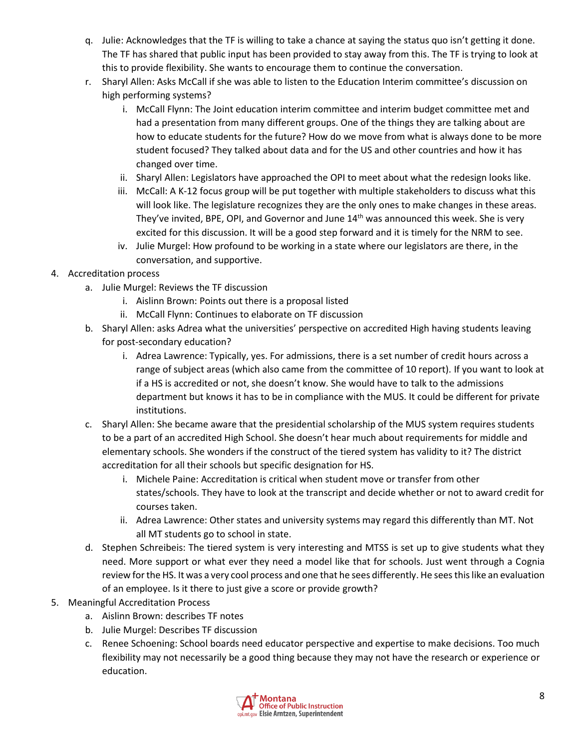- q. Julie: Acknowledges that the TF is willing to take a chance at saying the status quo isn't getting it done. The TF has shared that public input has been provided to stay away from this. The TF is trying to look at this to provide flexibility. She wants to encourage them to continue the conversation.
- r. Sharyl Allen: Asks McCall if she was able to listen to the Education Interim committee's discussion on high performing systems?
	- i. McCall Flynn: The Joint education interim committee and interim budget committee met and had a presentation from many different groups. One of the things they are talking about are how to educate students for the future? How do we move from what is always done to be more student focused? They talked about data and for the US and other countries and how it has changed over time.
	- ii. Sharyl Allen: Legislators have approached the OPI to meet about what the redesign looks like.
	- iii. McCall: A K-12 focus group will be put together with multiple stakeholders to discuss what this will look like. The legislature recognizes they are the only ones to make changes in these areas. They've invited, BPE, OPI, and Governor and June  $14<sup>th</sup>$  was announced this week. She is very excited for this discussion. It will be a good step forward and it is timely for the NRM to see.
	- iv. Julie Murgel: How profound to be working in a state where our legislators are there, in the conversation, and supportive.
- 4. Accreditation process
	- a. Julie Murgel: Reviews the TF discussion
		- i. Aislinn Brown: Points out there is a proposal listed
		- ii. McCall Flynn: Continues to elaborate on TF discussion
	- b. Sharyl Allen: asks Adrea what the universities' perspective on accredited High having students leaving for post-secondary education?
		- i. Adrea Lawrence: Typically, yes. For admissions, there is a set number of credit hours across a range of subject areas (which also came from the committee of 10 report). If you want to look at if a HS is accredited or not, she doesn't know. She would have to talk to the admissions department but knows it has to be in compliance with the MUS. It could be different for private institutions.
	- c. Sharyl Allen: She became aware that the presidential scholarship of the MUS system requires students to be a part of an accredited High School. She doesn't hear much about requirements for middle and elementary schools. She wonders if the construct of the tiered system has validity to it? The district accreditation for all their schools but specific designation for HS.
		- i. Michele Paine: Accreditation is critical when student move or transfer from other states/schools. They have to look at the transcript and decide whether or not to award credit for courses taken.
		- ii. Adrea Lawrence: Other states and university systems may regard this differently than MT. Not all MT students go to school in state.
	- d. Stephen Schreibeis: The tiered system is very interesting and MTSS is set up to give students what they need. More support or what ever they need a model like that for schools. Just went through a Cognia review for the HS. It was a very cool process and one that he sees differently. He seesthis like an evaluation of an employee. Is it there to just give a score or provide growth?
- 5. Meaningful Accreditation Process
	- a. Aislinn Brown: describes TF notes
	- b. Julie Murgel: Describes TF discussion
	- c. Renee Schoening: School boards need educator perspective and expertise to make decisions. Too much flexibility may not necessarily be a good thing because they may not have the research or experience or education.

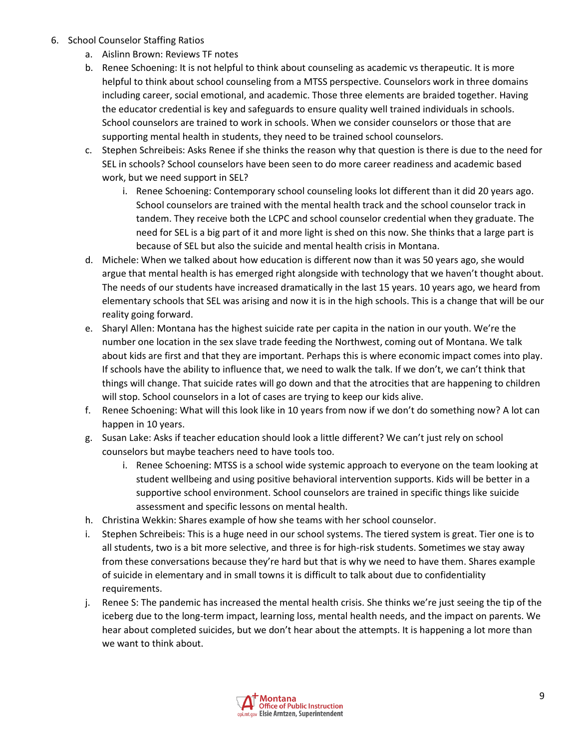- 6. School Counselor Staffing Ratios
	- a. Aislinn Brown: Reviews TF notes
	- b. Renee Schoening: It is not helpful to think about counseling as academic vs therapeutic. It is more helpful to think about school counseling from a MTSS perspective. Counselors work in three domains including career, social emotional, and academic. Those three elements are braided together. Having the educator credential is key and safeguards to ensure quality well trained individuals in schools. School counselors are trained to work in schools. When we consider counselors or those that are supporting mental health in students, they need to be trained school counselors.
	- c. Stephen Schreibeis: Asks Renee if she thinks the reason why that question is there is due to the need for SEL in schools? School counselors have been seen to do more career readiness and academic based work, but we need support in SEL?
		- i. Renee Schoening: Contemporary school counseling looks lot different than it did 20 years ago. School counselors are trained with the mental health track and the school counselor track in tandem. They receive both the LCPC and school counselor credential when they graduate. The need for SEL is a big part of it and more light is shed on this now. She thinks that a large part is because of SEL but also the suicide and mental health crisis in Montana.
	- d. Michele: When we talked about how education is different now than it was 50 years ago, she would argue that mental health is has emerged right alongside with technology that we haven't thought about. The needs of our students have increased dramatically in the last 15 years. 10 years ago, we heard from elementary schools that SEL was arising and now it is in the high schools. This is a change that will be our reality going forward.
	- e. Sharyl Allen: Montana has the highest suicide rate per capita in the nation in our youth. We're the number one location in the sex slave trade feeding the Northwest, coming out of Montana. We talk about kids are first and that they are important. Perhaps this is where economic impact comes into play. If schools have the ability to influence that, we need to walk the talk. If we don't, we can't think that things will change. That suicide rates will go down and that the atrocities that are happening to children will stop. School counselors in a lot of cases are trying to keep our kids alive.
	- f. Renee Schoening: What will this look like in 10 years from now if we don't do something now? A lot can happen in 10 years.
	- g. Susan Lake: Asks if teacher education should look a little different? We can't just rely on school counselors but maybe teachers need to have tools too.
		- i. Renee Schoening: MTSS is a school wide systemic approach to everyone on the team looking at student wellbeing and using positive behavioral intervention supports. Kids will be better in a supportive school environment. School counselors are trained in specific things like suicide assessment and specific lessons on mental health.
	- h. Christina Wekkin: Shares example of how she teams with her school counselor.
	- i. Stephen Schreibeis: This is a huge need in our school systems. The tiered system is great. Tier one is to all students, two is a bit more selective, and three is for high-risk students. Sometimes we stay away from these conversations because they're hard but that is why we need to have them. Shares example of suicide in elementary and in small towns it is difficult to talk about due to confidentiality requirements.
	- j. Renee S: The pandemic has increased the mental health crisis. She thinks we're just seeing the tip of the iceberg due to the long-term impact, learning loss, mental health needs, and the impact on parents. We hear about completed suicides, but we don't hear about the attempts. It is happening a lot more than we want to think about.

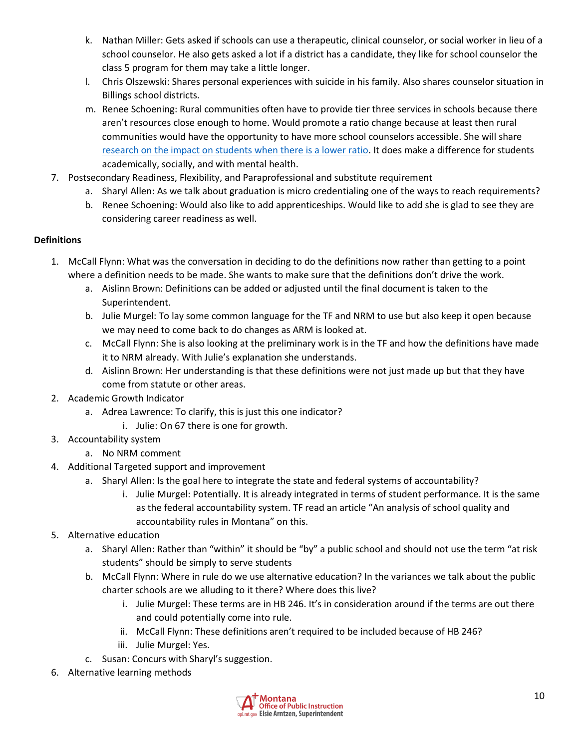- k. Nathan Miller: Gets asked if schools can use a therapeutic, clinical counselor, or social worker in lieu of a school counselor. He also gets asked a lot if a district has a candidate, they like for school counselor the class 5 program for them may take a little longer.
- l. Chris Olszewski: Shares personal experiences with suicide in his family. Also shares counselor situation in Billings school districts.
- m. Renee Schoening: Rural communities often have to provide tier three services in schools because there aren't resources close enough to home. Would promote a ratio change because at least then rural communities would have the opportunity to have more school counselors accessible. She will share [research on the impact on students](https://urldefense.com/v3/__https:/wcer.wisc.edu/news/detail/why-its-wrong-to-label-students-at-risk*:*:text=) when there is a lower ratio. It does make a difference for students academically, socially, and with mental health.
- 7. Postsecondary Readiness, Flexibility, and Paraprofessional and substitute requirement
	- a. Sharyl Allen: As we talk about graduation is micro credentialing one of the ways to reach requirements?
	- b. Renee Schoening: Would also like to add apprenticeships. Would like to add she is glad to see they are considering career readiness as well.

## **Definitions**

- 1. McCall Flynn: What was the conversation in deciding to do the definitions now rather than getting to a point where a definition needs to be made. She wants to make sure that the definitions don't drive the work.
	- a. Aislinn Brown: Definitions can be added or adjusted until the final document is taken to the Superintendent.
	- b. Julie Murgel: To lay some common language for the TF and NRM to use but also keep it open because we may need to come back to do changes as ARM is looked at.
	- c. McCall Flynn: She is also looking at the preliminary work is in the TF and how the definitions have made it to NRM already. With Julie's explanation she understands.
	- d. Aislinn Brown: Her understanding is that these definitions were not just made up but that they have come from statute or other areas.
- 2. Academic Growth Indicator
	- a. Adrea Lawrence: To clarify, this is just this one indicator?
		- i. Julie: On 67 there is one for growth.
- 3. Accountability system

# a. No NRM comment

- 4. Additional Targeted support and improvement
	- a. Sharyl Allen: Is the goal here to integrate the state and federal systems of accountability?
		- i. Julie Murgel: Potentially. It is already integrated in terms of student performance. It is the same as the federal accountability system. TF read an article "An analysis of school quality and accountability rules in Montana" on this.
- 5. Alternative education
	- a. Sharyl Allen: Rather than "within" it should be "by" a public school and should not use the term "at risk students" should be simply to serve students
	- b. McCall Flynn: Where in rule do we use alternative education? In the variances we talk about the public charter schools are we alluding to it there? Where does this live?
		- i. Julie Murgel: These terms are in HB 246. It's in consideration around if the terms are out there and could potentially come into rule.
		- ii. McCall Flynn: These definitions aren't required to be included because of HB 246?
		- iii. Julie Murgel: Yes.
	- c. Susan: Concurs with Sharyl's suggestion.
- 6. Alternative learning methods

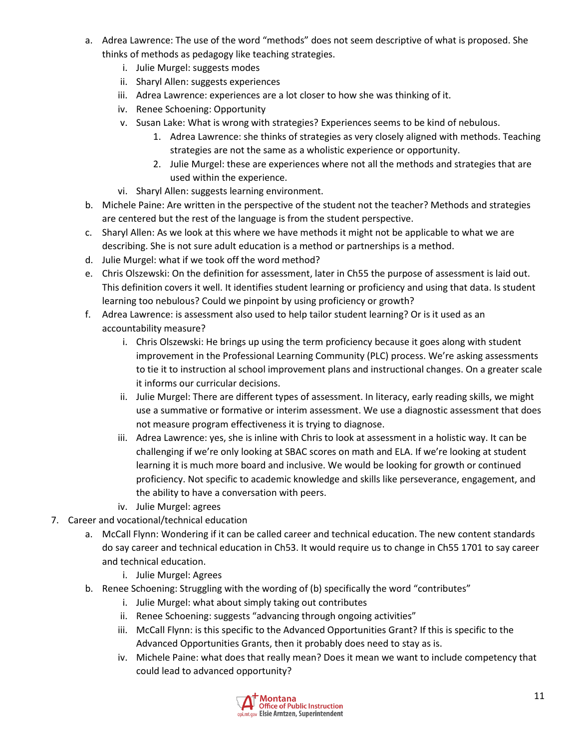- a. Adrea Lawrence: The use of the word "methods" does not seem descriptive of what is proposed. She thinks of methods as pedagogy like teaching strategies.
	- i. Julie Murgel: suggests modes
	- ii. Sharyl Allen: suggests experiences
	- iii. Adrea Lawrence: experiences are a lot closer to how she was thinking of it.
	- iv. Renee Schoening: Opportunity
	- v. Susan Lake: What is wrong with strategies? Experiences seems to be kind of nebulous.
		- 1. Adrea Lawrence: she thinks of strategies as very closely aligned with methods. Teaching strategies are not the same as a wholistic experience or opportunity.
		- 2. Julie Murgel: these are experiences where not all the methods and strategies that are used within the experience.
	- vi. Sharyl Allen: suggests learning environment.
- b. Michele Paine: Are written in the perspective of the student not the teacher? Methods and strategies are centered but the rest of the language is from the student perspective.
- c. Sharyl Allen: As we look at this where we have methods it might not be applicable to what we are describing. She is not sure adult education is a method or partnerships is a method.
- d. Julie Murgel: what if we took off the word method?
- e. Chris Olszewski: On the definition for assessment, later in Ch55 the purpose of assessment is laid out. This definition covers it well. It identifies student learning or proficiency and using that data. Is student learning too nebulous? Could we pinpoint by using proficiency or growth?
- f. Adrea Lawrence: is assessment also used to help tailor student learning? Or is it used as an accountability measure?
	- i. Chris Olszewski: He brings up using the term proficiency because it goes along with student improvement in the Professional Learning Community (PLC) process. We're asking assessments to tie it to instruction al school improvement plans and instructional changes. On a greater scale it informs our curricular decisions.
	- ii. Julie Murgel: There are different types of assessment. In literacy, early reading skills, we might use a summative or formative or interim assessment. We use a diagnostic assessment that does not measure program effectiveness it is trying to diagnose.
	- iii. Adrea Lawrence: yes, she is inline with Chris to look at assessment in a holistic way. It can be challenging if we're only looking at SBAC scores on math and ELA. If we're looking at student learning it is much more board and inclusive. We would be looking for growth or continued proficiency. Not specific to academic knowledge and skills like perseverance, engagement, and the ability to have a conversation with peers.
	- iv. Julie Murgel: agrees
- 7. Career and vocational/technical education
	- a. McCall Flynn: Wondering if it can be called career and technical education. The new content standards do say career and technical education in Ch53. It would require us to change in Ch55 1701 to say career and technical education.
		- i. Julie Murgel: Agrees
	- b. Renee Schoening: Struggling with the wording of (b) specifically the word "contributes"
		- i. Julie Murgel: what about simply taking out contributes
		- ii. Renee Schoening: suggests "advancing through ongoing activities"
		- iii. McCall Flynn: is this specific to the Advanced Opportunities Grant? If this is specific to the Advanced Opportunities Grants, then it probably does need to stay as is.
		- iv. Michele Paine: what does that really mean? Does it mean we want to include competency that could lead to advanced opportunity?

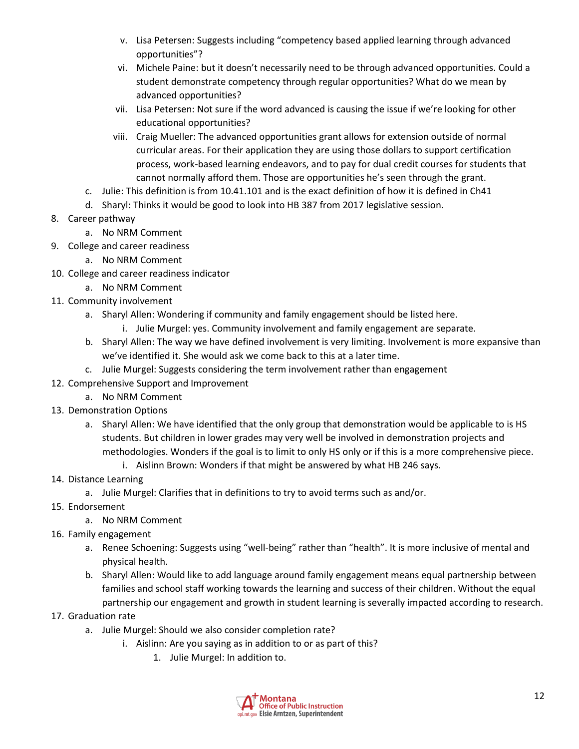- v. Lisa Petersen: Suggests including "competency based applied learning through advanced opportunities"?
- vi. Michele Paine: but it doesn't necessarily need to be through advanced opportunities. Could a student demonstrate competency through regular opportunities? What do we mean by advanced opportunities?
- vii. Lisa Petersen: Not sure if the word advanced is causing the issue if we're looking for other educational opportunities?
- viii. Craig Mueller: The advanced opportunities grant allows for extension outside of normal curricular areas. For their application they are using those dollars to support certification process, work-based learning endeavors, and to pay for dual credit courses for students that cannot normally afford them. Those are opportunities he's seen through the grant.
- c. Julie: This definition is from 10.41.101 and is the exact definition of how it is defined in Ch41
- d. Sharyl: Thinks it would be good to look into HB 387 from 2017 legislative session.
- 8. Career pathway
	- a. No NRM Comment
- 9. College and career readiness
	- a. No NRM Comment
- 10. College and career readiness indicator
	- a. No NRM Comment
- 11. Community involvement
	- a. Sharyl Allen: Wondering if community and family engagement should be listed here.
		- i. Julie Murgel: yes. Community involvement and family engagement are separate.
	- b. Sharyl Allen: The way we have defined involvement is very limiting. Involvement is more expansive than we've identified it. She would ask we come back to this at a later time.
	- c. Julie Murgel: Suggests considering the term involvement rather than engagement
- 12. Comprehensive Support and Improvement
	- a. No NRM Comment
- 13. Demonstration Options
	- a. Sharyl Allen: We have identified that the only group that demonstration would be applicable to is HS students. But children in lower grades may very well be involved in demonstration projects and methodologies. Wonders if the goal is to limit to only HS only or if this is a more comprehensive piece.
		- i. Aislinn Brown: Wonders if that might be answered by what HB 246 says.
- 14. Distance Learning
	- a. Julie Murgel: Clarifies that in definitions to try to avoid terms such as and/or.
- 15. Endorsement
	- a. No NRM Comment
- 16. Family engagement
	- a. Renee Schoening: Suggests using "well-being" rather than "health". It is more inclusive of mental and physical health.
	- b. Sharyl Allen: Would like to add language around family engagement means equal partnership between families and school staff working towards the learning and success of their children. Without the equal partnership our engagement and growth in student learning is severally impacted according to research.
- 17. Graduation rate
	- a. Julie Murgel: Should we also consider completion rate?
		- i. Aislinn: Are you saying as in addition to or as part of this?
			- 1. Julie Murgel: In addition to.

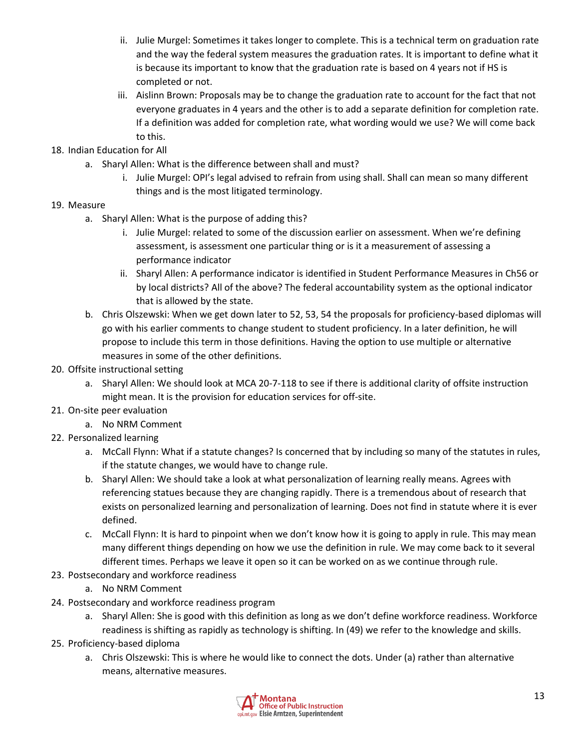- ii. Julie Murgel: Sometimes it takes longer to complete. This is a technical term on graduation rate and the way the federal system measures the graduation rates. It is important to define what it is because its important to know that the graduation rate is based on 4 years not if HS is completed or not.
- iii. Aislinn Brown: Proposals may be to change the graduation rate to account for the fact that not everyone graduates in 4 years and the other is to add a separate definition for completion rate. If a definition was added for completion rate, what wording would we use? We will come back to this.
- 18. Indian Education for All
	- a. Sharyl Allen: What is the difference between shall and must?
		- i. Julie Murgel: OPI's legal advised to refrain from using shall. Shall can mean so many different things and is the most litigated terminology.

## 19. Measure

- a. Sharyl Allen: What is the purpose of adding this?
	- i. Julie Murgel: related to some of the discussion earlier on assessment. When we're defining assessment, is assessment one particular thing or is it a measurement of assessing a performance indicator
	- ii. Sharyl Allen: A performance indicator is identified in Student Performance Measures in Ch56 or by local districts? All of the above? The federal accountability system as the optional indicator that is allowed by the state.
- b. Chris Olszewski: When we get down later to 52, 53, 54 the proposals for proficiency-based diplomas will go with his earlier comments to change student to student proficiency. In a later definition, he will propose to include this term in those definitions. Having the option to use multiple or alternative measures in some of the other definitions.
- 20. Offsite instructional setting
	- a. Sharyl Allen: We should look at MCA 20-7-118 to see if there is additional clarity of offsite instruction might mean. It is the provision for education services for off-site.
- 21. On-site peer evaluation
	- a. No NRM Comment
- 22. Personalized learning
	- a. McCall Flynn: What if a statute changes? Is concerned that by including so many of the statutes in rules, if the statute changes, we would have to change rule.
	- b. Sharyl Allen: We should take a look at what personalization of learning really means. Agrees with referencing statues because they are changing rapidly. There is a tremendous about of research that exists on personalized learning and personalization of learning. Does not find in statute where it is ever defined.
	- c. McCall Flynn: It is hard to pinpoint when we don't know how it is going to apply in rule. This may mean many different things depending on how we use the definition in rule. We may come back to it several different times. Perhaps we leave it open so it can be worked on as we continue through rule.
- 23. Postsecondary and workforce readiness
	- a. No NRM Comment
- 24. Postsecondary and workforce readiness program
	- a. Sharyl Allen: She is good with this definition as long as we don't define workforce readiness. Workforce readiness is shifting as rapidly as technology is shifting. In (49) we refer to the knowledge and skills.
- 25. Proficiency-based diploma
	- a. Chris Olszewski: This is where he would like to connect the dots. Under (a) rather than alternative means, alternative measures.

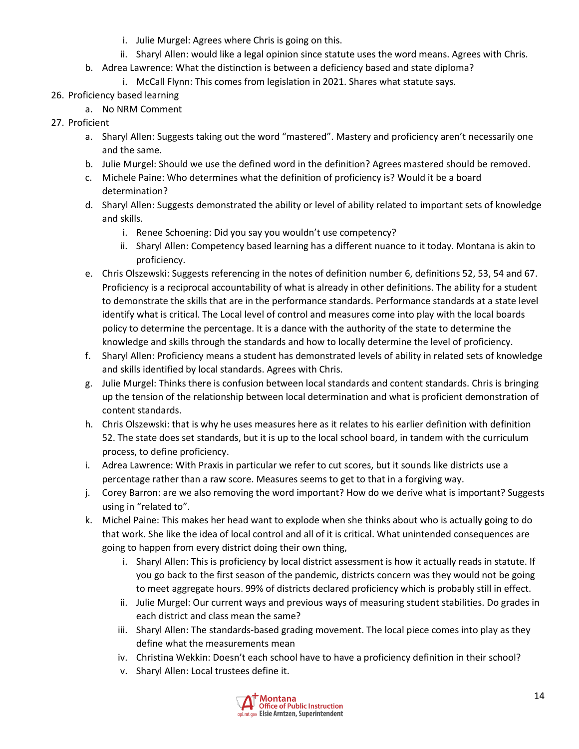- i. Julie Murgel: Agrees where Chris is going on this.
- ii. Sharyl Allen: would like a legal opinion since statute uses the word means. Agrees with Chris.
- b. Adrea Lawrence: What the distinction is between a deficiency based and state diploma?
	- i. McCall Flynn: This comes from legislation in 2021. Shares what statute says.
- 26. Proficiency based learning
	- a. No NRM Comment
- 27. Proficient
	- a. Sharyl Allen: Suggests taking out the word "mastered". Mastery and proficiency aren't necessarily one and the same.
	- b. Julie Murgel: Should we use the defined word in the definition? Agrees mastered should be removed.
	- c. Michele Paine: Who determines what the definition of proficiency is? Would it be a board determination?
	- d. Sharyl Allen: Suggests demonstrated the ability or level of ability related to important sets of knowledge and skills.
		- i. Renee Schoening: Did you say you wouldn't use competency?
		- ii. Sharyl Allen: Competency based learning has a different nuance to it today. Montana is akin to proficiency.
	- e. Chris Olszewski: Suggests referencing in the notes of definition number 6, definitions 52, 53, 54 and 67. Proficiency is a reciprocal accountability of what is already in other definitions. The ability for a student to demonstrate the skills that are in the performance standards. Performance standards at a state level identify what is critical. The Local level of control and measures come into play with the local boards policy to determine the percentage. It is a dance with the authority of the state to determine the knowledge and skills through the standards and how to locally determine the level of proficiency.
	- f. Sharyl Allen: Proficiency means a student has demonstrated levels of ability in related sets of knowledge and skills identified by local standards. Agrees with Chris.
	- g. Julie Murgel: Thinks there is confusion between local standards and content standards. Chris is bringing up the tension of the relationship between local determination and what is proficient demonstration of content standards.
	- h. Chris Olszewski: that is why he uses measures here as it relates to his earlier definition with definition 52. The state does set standards, but it is up to the local school board, in tandem with the curriculum process, to define proficiency.
	- i. Adrea Lawrence: With Praxis in particular we refer to cut scores, but it sounds like districts use a percentage rather than a raw score. Measures seems to get to that in a forgiving way.
	- j. Corey Barron: are we also removing the word important? How do we derive what is important? Suggests using in "related to".
	- k. Michel Paine: This makes her head want to explode when she thinks about who is actually going to do that work. She like the idea of local control and all of it is critical. What unintended consequences are going to happen from every district doing their own thing,
		- i. Sharyl Allen: This is proficiency by local district assessment is how it actually reads in statute. If you go back to the first season of the pandemic, districts concern was they would not be going to meet aggregate hours. 99% of districts declared proficiency which is probably still in effect.
		- ii. Julie Murgel: Our current ways and previous ways of measuring student stabilities. Do grades in each district and class mean the same?
		- iii. Sharyl Allen: The standards-based grading movement. The local piece comes into play as they define what the measurements mean
		- iv. Christina Wekkin: Doesn't each school have to have a proficiency definition in their school?
		- v. Sharyl Allen: Local trustees define it.

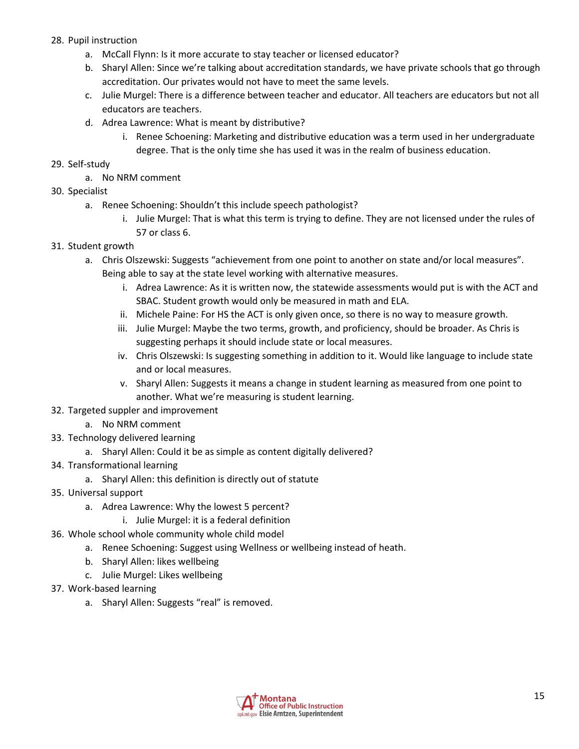## 28. Pupil instruction

- a. McCall Flynn: Is it more accurate to stay teacher or licensed educator?
- b. Sharyl Allen: Since we're talking about accreditation standards, we have private schools that go through accreditation. Our privates would not have to meet the same levels.
- c. Julie Murgel: There is a difference between teacher and educator. All teachers are educators but not all educators are teachers.
- d. Adrea Lawrence: What is meant by distributive?
	- i. Renee Schoening: Marketing and distributive education was a term used in her undergraduate degree. That is the only time she has used it was in the realm of business education.
- 29. Self-study
	- a. No NRM comment
- 30. Specialist
	- a. Renee Schoening: Shouldn't this include speech pathologist?
		- i. Julie Murgel: That is what this term is trying to define. They are not licensed under the rules of 57 or class 6.
- 31. Student growth
	- a. Chris Olszewski: Suggests "achievement from one point to another on state and/or local measures". Being able to say at the state level working with alternative measures.
		- i. Adrea Lawrence: As it is written now, the statewide assessments would put is with the ACT and SBAC. Student growth would only be measured in math and ELA.
		- ii. Michele Paine: For HS the ACT is only given once, so there is no way to measure growth.
		- iii. Julie Murgel: Maybe the two terms, growth, and proficiency, should be broader. As Chris is suggesting perhaps it should include state or local measures.
		- iv. Chris Olszewski: Is suggesting something in addition to it. Would like language to include state and or local measures.
		- v. Sharyl Allen: Suggests it means a change in student learning as measured from one point to another. What we're measuring is student learning.
- 32. Targeted suppler and improvement
	- a. No NRM comment
- 33. Technology delivered learning
	- a. Sharyl Allen: Could it be as simple as content digitally delivered?
- 34. Transformational learning
	- a. Sharyl Allen: this definition is directly out of statute
- 35. Universal support
	- a. Adrea Lawrence: Why the lowest 5 percent?
		- i. Julie Murgel: it is a federal definition
- 36. Whole school whole community whole child model
	- a. Renee Schoening: Suggest using Wellness or wellbeing instead of heath.
	- b. Sharyl Allen: likes wellbeing
	- c. Julie Murgel: Likes wellbeing
- 37. Work-based learning
	- a. Sharyl Allen: Suggests "real" is removed.